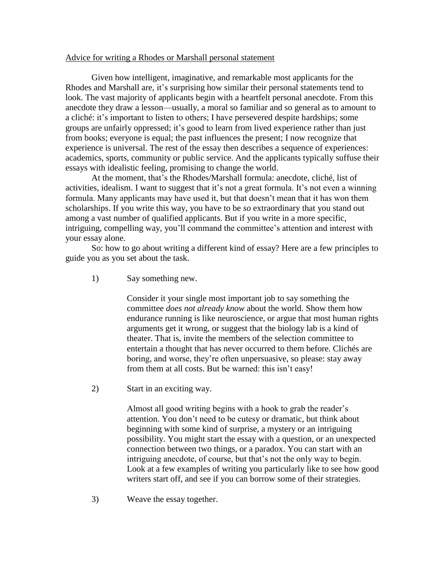## Advice for writing a Rhodes or Marshall personal statement

Given how intelligent, imaginative, and remarkable most applicants for the Rhodes and Marshall are, it's surprising how similar their personal statements tend to look. The vast majority of applicants begin with a heartfelt personal anecdote. From this anecdote they draw a lesson—usually, a moral so familiar and so general as to amount to a cliché: it's important to listen to others; I have persevered despite hardships; some groups are unfairly oppressed; it's good to learn from lived experience rather than just from books; everyone is equal; the past influences the present; I now recognize that experience is universal. The rest of the essay then describes a sequence of experiences: academics, sports, community or public service. And the applicants typically suffuse their essays with idealistic feeling, promising to change the world.

At the moment, that's the Rhodes/Marshall formula: anecdote, cliché, list of activities, idealism. I want to suggest that it's not a great formula. It's not even a winning formula. Many applicants may have used it, but that doesn't mean that it has won them scholarships. If you write this way, you have to be *so* extraordinary that you stand out among a vast number of qualified applicants. But if you write in a more specific, intriguing, compelling way, you'll command the committee's attention and interest with your essay alone.

So: how to go about writing a different kind of essay? Here are a few principles to guide you as you set about the task.

1) Say something new.

Consider it your single most important job to say something the committee *does not already know* about the world. Show them how endurance running is like neuroscience, or argue that most human rights arguments get it wrong, or suggest that the biology lab is a kind of theater. That is, invite the members of the selection committee to entertain a thought that has never occurred to them before. Clichés are boring, and worse, they're often unpersuasive, so please: stay away from them at all costs. But be warned: this isn't easy!

2) Start in an exciting way.

Almost all good writing begins with a hook to grab the reader's attention. You don't need to be cutesy or dramatic, but think about beginning with some kind of surprise, a mystery or an intriguing possibility. You might start the essay with a question, or an unexpected connection between two things, or a paradox. You can start with an intriguing anecdote, of course, but that's not the only way to begin. Look at a few examples of writing you particularly like to see how good writers start off, and see if you can borrow some of their strategies.

3) Weave the essay together.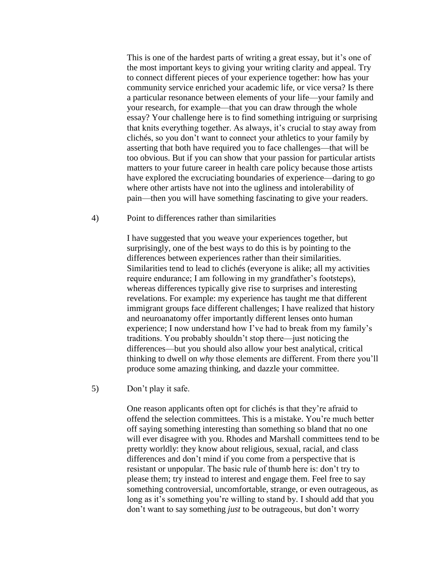This is one of the hardest parts of writing a great essay, but it's one of the most important keys to giving your writing clarity and appeal. Try to connect different pieces of your experience together: how has your community service enriched your academic life, or vice versa? Is there a particular resonance between elements of your life—your family and your research, for example—that you can draw through the whole essay? Your challenge here is to find something intriguing or surprising that knits everything together. As always, it's crucial to stay away from clichés, so you don't want to connect your athletics to your family by asserting that both have required you to face challenges—that will be too obvious. But if you can show that your passion for particular artists matters to your future career in health care policy because those artists have explored the excruciating boundaries of experience—daring to go where other artists have not into the ugliness and intolerability of pain—then you will have something fascinating to give your readers.

## 4) Point to differences rather than similarities

I have suggested that you weave your experiences together, but surprisingly, one of the best ways to do this is by pointing to the differences between experiences rather than their similarities. Similarities tend to lead to clichés (everyone is alike; all my activities require endurance; I am following in my grandfather's footsteps), whereas differences typically give rise to surprises and interesting revelations. For example: my experience has taught me that different immigrant groups face different challenges; I have realized that history and neuroanatomy offer importantly different lenses onto human experience; I now understand how I've had to break from my family's traditions. You probably shouldn't stop there—just noticing the differences—but you should also allow your best analytical, critical thinking to dwell on *why* those elements are different. From there you'll produce some amazing thinking, and dazzle your committee.

5) Don't play it safe.

One reason applicants often opt for clichés is that they're afraid to offend the selection committees. This is a mistake. You're much better off saying something interesting than something so bland that no one will ever disagree with you. Rhodes and Marshall committees tend to be pretty worldly: they know about religious, sexual, racial, and class differences and don't mind if you come from a perspective that is resistant or unpopular. The basic rule of thumb here is: don't try to please them; try instead to interest and engage them. Feel free to say something controversial, uncomfortable, strange, or even outrageous, as long as it's something you're willing to stand by. I should add that you don't want to say something *just* to be outrageous, but don't worry